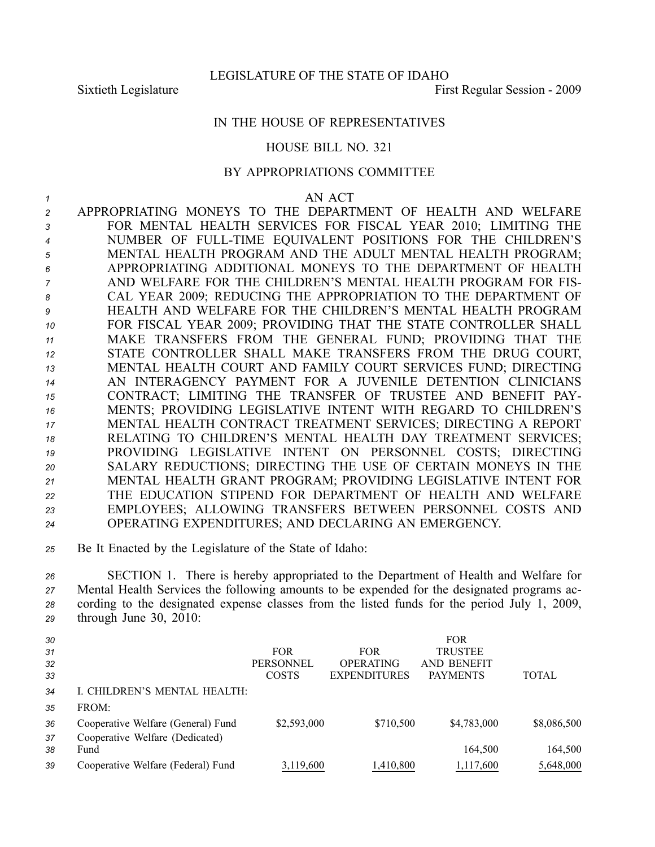## IN THE HOUSE OF REPRESENTATIVES

## HOUSE BILL NO. 321

## BY APPROPRIATIONS COMMITTEE

*1* AN ACT

- *<sup>2</sup>* APPROPRIATING MONEYS TO THE DEPARTMENT OF HEALTH AND WELFARE *<sup>3</sup>* FOR MENTAL HEALTH SERVICES FOR FISCAL YEAR 2010; LIMITING THE *<sup>4</sup>* NUMBER OF FULLTIME EQUIVALENT POSITIONS FOR THE CHILDREN'S *<sup>5</sup>* MENTAL HEALTH PROGRAM AND THE ADULT MENTAL HEALTH PROGRAM; *6* APPROPRIATING ADDITIONAL MONEYS TO THE DEPARTMENT OF HEALTH *<sup>7</sup>* AND WELFARE FOR THE CHILDREN'S MENTAL HEALTH PROGRAM FOR FIS-*<sup>8</sup>* CAL YEAR 2009; REDUCING THE APPROPRIATION TO THE DEPARTMENT OF *9* HEALTH AND WELFARE FOR THE CHILDREN'S MENTAL HEALTH PROGRAM *<sup>10</sup>* FOR FISCAL YEAR 2009; PROVIDING THAT THE STATE CONTROLLER SHALL *<sup>11</sup>* MAKE TRANSFERS FROM THE GENERAL FUND; PROVIDING THAT THE *<sup>12</sup>* STATE CONTROLLER SHALL MAKE TRANSFERS FROM THE DRUG COURT, *<sup>13</sup>* MENTAL HEALTH COURT AND FAMILY COURT SERVICES FUND; DIRECTING *<sup>14</sup>* AN INTERAGENCY PAYMENT FOR A JUVENILE DETENTION CLINICIANS *<sup>15</sup>* CONTRACT; LIMITING THE TRANSFER OF TRUSTEE AND BENEFIT PAY-*<sup>16</sup>* MENTS; PROVIDING LEGISLATIVE INTENT WITH REGARD TO CHILDREN'S *<sup>17</sup>* MENTAL HEALTH CONTRACT TREATMENT SERVICES; DIRECTING A REPORT *<sup>18</sup>* RELATING TO CHILDREN'S MENTAL HEALTH DAY TREATMENT SERVICES; *<sup>19</sup>* PROVIDING LEGISLATIVE INTENT ON PERSONNEL COSTS; DIRECTING *<sup>20</sup>* SALARY REDUCTIONS; DIRECTING THE USE OF CERTAIN MONEYS IN THE *<sup>21</sup>* MENTAL HEALTH GRANT PROGRAM; PROVIDING LEGISLATIVE INTENT FOR *<sup>22</sup>* THE EDUCATION STIPEND FOR DEPARTMENT OF HEALTH AND WELFARE *<sup>23</sup>* EMPLOYEES; ALLOWING TRANSFERS BETWEEN PERSONNEL COSTS AND *<sup>24</sup>* OPERATING EXPENDITURES; AND DECLARING AN EMERGENCY.
- *<sup>25</sup>* Be It Enacted by the Legislature of the State of Idaho:

 SECTION 1. There is hereby appropriated to the Department of Health and Welfare for Mental Health Services the following amounts to be expended for the designated programs ac- cording to the designated expense classes from the listed funds for the period July 1, 2009, through June 30, 2010:

| 30 |                                    |                  |                     | <b>FOR</b>         |             |
|----|------------------------------------|------------------|---------------------|--------------------|-------------|
| 31 |                                    | <b>FOR</b>       | <b>FOR</b>          | <b>TRUSTEE</b>     |             |
| 32 |                                    | <b>PERSONNEL</b> | <b>OPERATING</b>    | <b>AND BENEFIT</b> |             |
| 33 |                                    | <b>COSTS</b>     | <b>EXPENDITURES</b> | <b>PAYMENTS</b>    | TOTAL.      |
| 34 | I. CHILDREN'S MENTAL HEALTH:       |                  |                     |                    |             |
| 35 | FROM:                              |                  |                     |                    |             |
| 36 | Cooperative Welfare (General) Fund | \$2,593,000      | \$710,500           | \$4,783,000        | \$8,086,500 |
| 37 | Cooperative Welfare (Dedicated)    |                  |                     |                    |             |
| 38 | Fund                               |                  |                     | 164,500            | 164,500     |
| 39 | Cooperative Welfare (Federal) Fund | 3,119,600        | 1,410,800           | 1,117,600          | 5,648,000   |
|    |                                    |                  |                     |                    |             |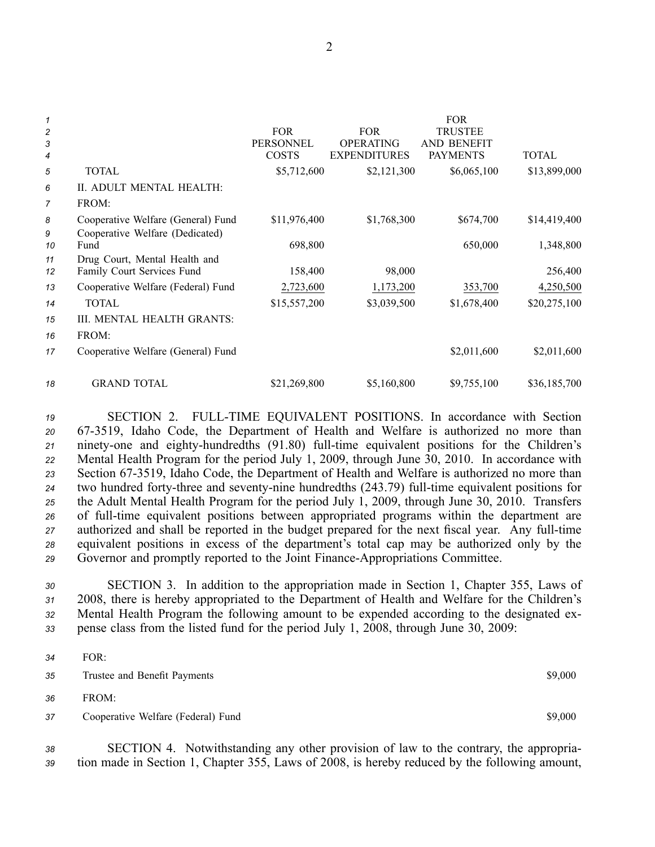| 1              |                                    |                  |                     | <b>FOR</b>      |              |
|----------------|------------------------------------|------------------|---------------------|-----------------|--------------|
| $\overline{c}$ |                                    | <b>FOR</b>       | <b>FOR</b>          | <b>TRUSTEE</b>  |              |
| 3              |                                    | <b>PERSONNEL</b> | <b>OPERATING</b>    | AND BENEFIT     |              |
| 4              |                                    | <b>COSTS</b>     | <b>EXPENDITURES</b> | <b>PAYMENTS</b> | <b>TOTAL</b> |
| 5              | <b>TOTAL</b>                       | \$5,712,600      | \$2,121,300         | \$6,065,100     | \$13,899,000 |
| 6              | II. ADULT MENTAL HEALTH:           |                  |                     |                 |              |
| $\overline{7}$ | FROM:                              |                  |                     |                 |              |
| 8              | Cooperative Welfare (General) Fund | \$11,976,400     | \$1,768,300         | \$674,700       | \$14,419,400 |
| 9              | Cooperative Welfare (Dedicated)    |                  |                     |                 |              |
| 10             | Fund                               | 698,800          |                     | 650,000         | 1,348,800    |
| 11             | Drug Court, Mental Health and      |                  |                     |                 |              |
| 12             | Family Court Services Fund         | 158,400          | 98,000              |                 | 256,400      |
| 13             | Cooperative Welfare (Federal) Fund | 2,723,600        | 1,173,200           | 353,700         | 4,250,500    |
| 14             | <b>TOTAL</b>                       | \$15,557,200     | \$3,039,500         | \$1,678,400     | \$20,275,100 |
| 15             | III. MENTAL HEALTH GRANTS:         |                  |                     |                 |              |
| 16             | FROM:                              |                  |                     |                 |              |
| 17             | Cooperative Welfare (General) Fund |                  |                     | \$2,011,600     | \$2,011,600  |
| 18             | <b>GRAND TOTAL</b>                 | \$21,269,800     | \$5,160,800         | \$9,755,100     | \$36,185,700 |

**SECTION 2.** FULL-TIME EQUIVALENT POSITIONS. In accordance with Section 673519, Idaho Code, the Department of Health and Welfare is authorized no more than 21 ninety-one and eighty-hundredths (91.80) full-time equivalent positions for the Children's Mental Health Program for the period July 1, 2009, through June 30, 2010. In accordance with 23 Section 67-3519, Idaho Code, the Department of Health and Welfare is authorized no more than 24 two hundred forty-three and seventy-nine hundredths (243.79) full-time equivalent positions for the Adult Mental Health Program for the period July 1, 2009, through June 30, 2010. Transfers 26 of full-time equivalent positions between appropriated programs within the department are authorized and shall be reported in the budget prepared for the next fiscal year. Any full-time equivalent positions in excess of the department's total cap may be authorized only by the Governor and promptly reported to the Joint FinanceAppropriations Committee.

 SECTION 3. In addition to the appropriation made in Section 1, Chapter 355, Laws of 2008, there is hereby appropriated to the Department of Health and Welfare for the Children's Mental Health Program the following amount to be expended according to the designated ex-pense class from the listed fund for the period July 1, 2008, through June 30, 2009:

| 35 | Trustee and Benefit Payments       | \$9,000 |
|----|------------------------------------|---------|
| 36 | FROM:                              |         |
| 37 | Cooperative Welfare (Federal) Fund | \$9,000 |
|    |                                    |         |

*34* FOR:

*<sup>38</sup>* SECTION 4. Notwithstanding any other provision of law to the contrary, the appropria-*<sup>39</sup>* tion made in Section 1, Chapter 355, Laws of 2008, is hereby reduced by the following amount,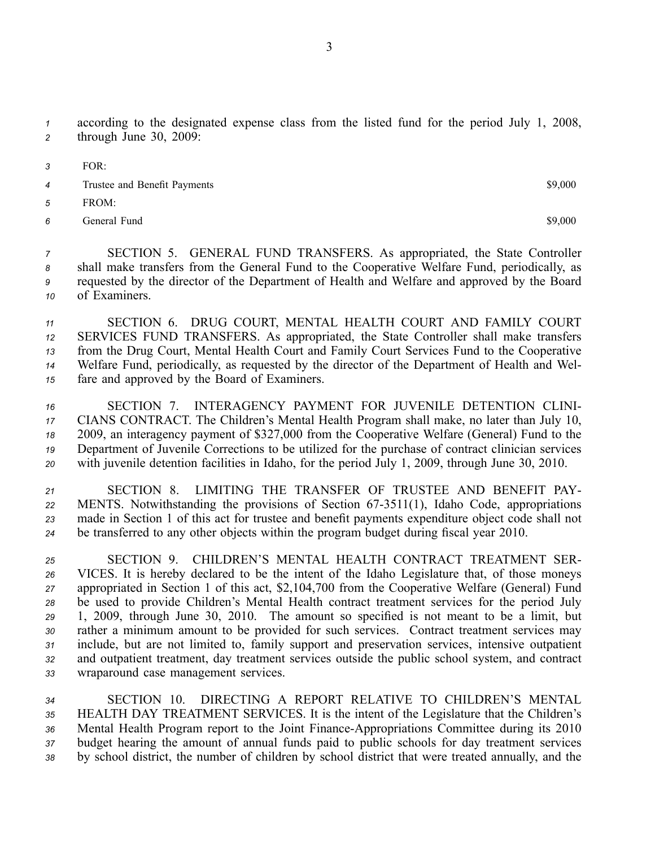*<sup>1</sup>* according to the designated expense class from the listed fund for the period July 1, 2008,

- *<sup>2</sup>* through June 30, 2009:
- *3* FOR:
- *<sup>4</sup>* Trustee and Benefit Payments \$9,000
- *5* FROM:
- **6** General Fund \$9,000

 SECTION 5. GENERAL FUND TRANSFERS. As appropriated, the State Controller shall make transfers from the General Fund to the Cooperative Welfare Fund, periodically, as requested by the director of the Department of Health and Welfare and approved by the Board of Examiners.

 SECTION 6. DRUG COURT, MENTAL HEALTH COURT AND FAMILY COURT SERVICES FUND TRANSFERS. As appropriated, the State Controller shall make transfers from the Drug Court, Mental Health Court and Family Court Services Fund to the Cooperative Welfare Fund, periodically, as requested by the director of the Department of Health and Wel-fare and approved by the Board of Examiners.

 SECTION 7. INTERAGENCY PAYMENT FOR JUVENILE DETENTION CLINI- CIANS CONTRACT. The Children's Mental Health Program shall make, no later than July 10, 2009, an interagency paymen<sup>t</sup> of \$327,000 from the Cooperative Welfare (General) Fund to the Department of Juvenile Corrections to be utilized for the purchase of contract clinician services with juvenile detention facilities in Idaho, for the period July 1, 2009, through June 30, 2010.

 SECTION 8. LIMITING THE TRANSFER OF TRUSTEE AND BENEFIT PAY-22 MENTS. Notwithstanding the provisions of Section 67-3511(1), Idaho Code, appropriations made in Section 1 of this act for trustee and benefit payments expenditure object code shall not be transferred to any other objects within the program budget during fiscal year 2010.

 SECTION 9. CHILDREN'S MENTAL HEALTH CONTRACT TREATMENT SER- VICES. It is hereby declared to be the intent of the Idaho Legislature that, of those moneys appropriated in Section 1 of this act, \$2,104,700 from the Cooperative Welfare (General) Fund be used to provide Children's Mental Health contract treatment services for the period July 1, 2009, through June 30, 2010. The amount so specified is not meant to be <sup>a</sup> limit, but rather <sup>a</sup> minimum amount to be provided for such services. Contract treatment services may include, but are not limited to, family suppor<sup>t</sup> and preservation services, intensive outpatient and outpatient treatment, day treatment services outside the public school system, and contract wraparound case managemen<sup>t</sup> services.

 SECTION 10. DIRECTING A REPORT RELATIVE TO CHILDREN'S MENTAL HEALTH DAY TREATMENT SERVICES. It is the intent of the Legislature that the Children's Mental Health Program repor<sup>t</sup> to the Joint FinanceAppropriations Committee during its 2010 budget hearing the amount of annual funds paid to public schools for day treatment services by school district, the number of children by school district that were treated annually, and the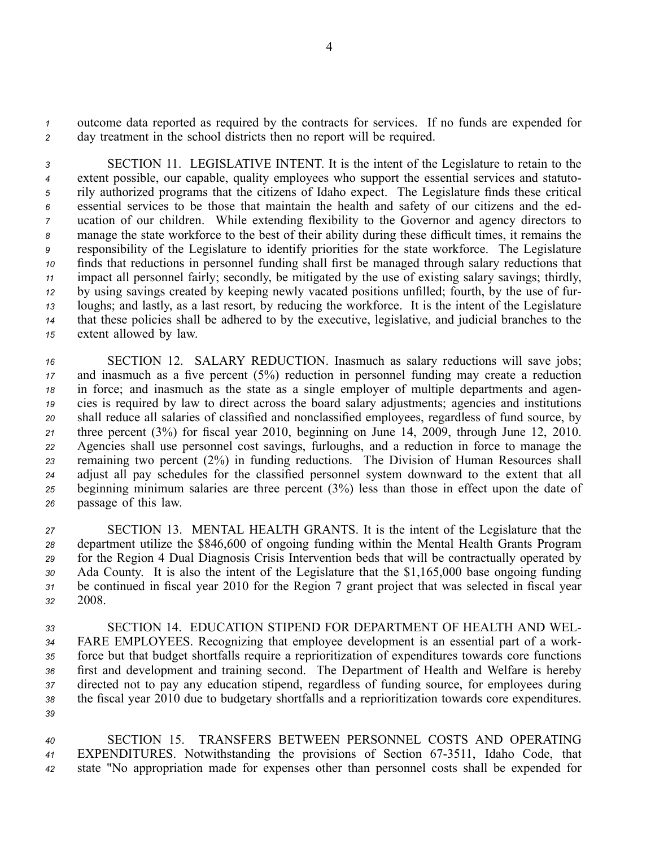*<sup>1</sup>* outcome data reported as required by the contracts for services. If no funds are expended for *<sup>2</sup>* day treatment in the school districts then no repor<sup>t</sup> will be required.

 SECTION 11. LEGISLATIVE INTENT. It is the intent of the Legislature to retain to the extent possible, our capable, quality employees who suppor<sup>t</sup> the essential services and statuto- rily authorized programs that the citizens of Idaho expect. The Legislature finds these critical essential services to be those that maintain the health and safety of our citizens and the ed- ucation of our children. While extending flexibility to the Governor and agency directors to manage the state workforce to the best of their ability during these difficult times, it remains the responsibility of the Legislature to identify priorities for the state workforce. The Legislature finds that reductions in personnel funding shall first be managed through salary reductions that impact all personnel fairly; secondly, be mitigated by the use of existing salary savings; thirdly, by using savings created by keeping newly vacated positions unfilled; fourth, by the use of fur- loughs; and lastly, as <sup>a</sup> last resort, by reducing the workforce. It is the intent of the Legislature that these policies shall be adhered to by the executive, legislative, and judicial branches to the extent allowed by law.

 SECTION 12. SALARY REDUCTION. Inasmuch as salary reductions will save jobs; and inasmuch as <sup>a</sup> five percen<sup>t</sup> (5%) reduction in personnel funding may create <sup>a</sup> reduction in force; and inasmuch as the state as <sup>a</sup> single employer of multiple departments and agen- cies is required by law to direct across the board salary adjustments; agencies and institutions shall reduce all salaries of classified and nonclassified employees, regardless of fund source, by three percen<sup>t</sup> (3%) for fiscal year 2010, beginning on June 14, 2009, through June 12, 2010. Agencies shall use personnel cost savings, furloughs, and <sup>a</sup> reduction in force to manage the remaining two percen<sup>t</sup> (2%) in funding reductions. The Division of Human Resources shall adjust all pay schedules for the classified personnel system downward to the extent that all beginning minimum salaries are three percen<sup>t</sup> (3%) less than those in effect upon the date of passage of this law.

 SECTION 13. MENTAL HEALTH GRANTS. It is the intent of the Legislature that the department utilize the \$846,600 of ongoing funding within the Mental Health Grants Program for the Region 4 Dual Diagnosis Crisis Intervention beds that will be contractually operated by Ada County. It is also the intent of the Legislature that the \$1,165,000 base ongoing funding be continued in fiscal year 2010 for the Region 7 gran<sup>t</sup> project that was selected in fiscal year *32* 2008.

 SECTION 14. EDUCATION STIPEND FOR DEPARTMENT OF HEALTH AND WEL- FARE EMPLOYEES. Recognizing that employee development is an essential par<sup>t</sup> of <sup>a</sup> work- force but that budget shortfalls require <sup>a</sup> reprioritization of expenditures towards core functions first and development and training second. The Department of Health and Welfare is hereby directed not to pay any education stipend, regardless of funding source, for employees during the fiscal year 2010 due to budgetary shortfalls and <sup>a</sup> reprioritization towards core expenditures. *39*

*40* SECTION 15. TRANSFERS BETWEEN PERSONNEL COSTS AND OPERATING *<sup>41</sup>* EXPENDITURES. Notwithstanding the provisions of Section 673511, Idaho Code, that *<sup>42</sup>* state "No appropriation made for expenses other than personnel costs shall be expended for